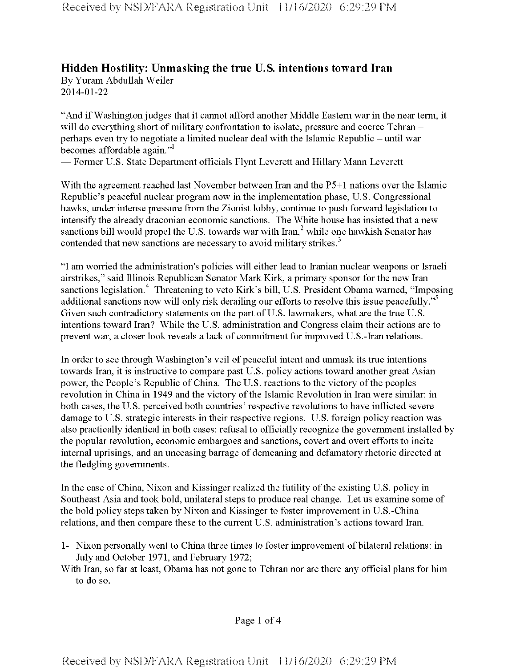## **Hidden Hostility: Unmasking the true U.S. intentions toward Iran** By Yuram Abdullah Weiler 2014-01-22

And if Washington judges that it cannot afford another Middle Eastern war in the near term, it will do everything short of military confrontation to isolate, pressure and coerce Tehran perhaps even try to negotiate a limited nuclear deal with the Islamic Republic – until war becomes affordable again."

— Former U.S. State Department officials Flynt Leverett and Hillary Mann Leverett

With the agreement reached last November between Iran and the P5+1 nations over the Islamic Republic's peaceful nuclear program now in the implementation phase, U.S. Congressional hawks, under intense pressure from the Zionist lobby, continue to push forward legislation to intensify the already draconian economic sanctions. The White house has insisted that a new sanctions bill would propel the U.S. towards war with Iran,<sup>2</sup> while one hawkish Senator has contended that new sanctions are necessary to avoid military strikes.<sup>3</sup>

"I am worried the administration's policies will either lead to Iranian nuclear weapons or Israeli airstrikes," said Illinois Republican Senator Mark Kirk, a primary sponsor forthe new Iran sanctions legislation.<sup>4</sup> Threatening to veto Kirk's bill, U.S. President Obama warned, "Imposing additional sanctions now will only risk derailing our efforts to resolve this issue peacefully."<sup>5</sup> Given such contradictory statements on the part of U.S. lawmakers, what are the true U.S. intentions toward Iran? While the U.S. administration and Congress claim their actions are to prevent war, a closer look reveals a lack of commitment for improved U.S.-Iran relations.

In order to see through Washington's veil of peaceful intent and unmask its true intentions towards Iran, it is instructive to compare past U.S. policy actions toward another great Asian power, the People's Republic of China. The U.S. reactions to the victory of the peoples revolution in China in 1949 and the victory of the Islamic Revolution in Iran were similar: in both cases, the U.S. perceived both countries' respective revolutions to have inflicted severe damage to U.S. strategic interests in their respective regions. U.S. foreign policy reaction was also practically identical in both cases: refusal to officially recognize the government installed by the popular revolution, economic embargoes and sanctions, covert and overt efforts to incite internal uprisings, and an unceasing barrage of demeaning and defamatory rhetoric directed at the fledgling governments.

In the case of China, Nixon and Kissinger realized the futility of the existing U.S. policy in Southeast Asia and took bold, unilateral steps to produce real change. Let us examine some of the bold policy steps taken by Nixon and Kissinger to foster improvement in U.S.-China relations, and then compare these to the current U.S. administration's actions toward Iran.

1- Nixon personally went to China three times to foster improvement ofbilateral relations: in July and October 1971, and February 1972;

With Iran, so far at least, Obama has not gone to Tehran nor are there any official plans for him to do so.

Page <sup>1</sup> of 4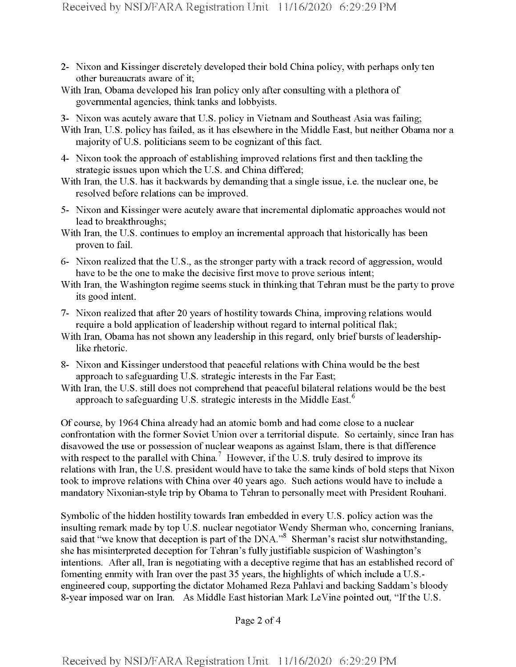- 2- Nixon and Kissinger discretely developed their bold China policy, with perhaps only ten other bureaucrats aware of it;
- With Iran, Obama developed his Iran policy only after consulting with a plethora of governmental agencies, think tanks and lobbyists.
- 3- Nixon was acutely aware that U.S. policy in Vietnam and Southeast Asia was failing;
- With Iran, U.S. policy has failed, as it has elsewhere in the Middle East, but neither Obama nor a majority of U.S. politicians seem to be cognizant of this fact.
- 4- Nixon took the approach of establishing improved relations first and then tackling the strategic issues upon which the U.S. and China differed;
- With Iran, the U.S. has it backwards by demanding that a single issue, i.e. the nuclear one, be resolved before relations can be improved.
- 5- Nixon and Kissinger were acutely aware that incremental diplomatic approaches would not lead to breakthroughs;
- With Iran, the U.S. continues to employ an incremental approach that historically has been proven to fail.
- 6- Nixon realized that the U.S., as the stronger party with a track record of aggression, would have to be the one to make the decisive first move to prove serious intent;
- With Iran, the Washington regime seems stuck in thinking that Tehran must be the party to prove its good intent.
- 7- Nixon realized that after 20 years ofhostility towards China, improving relations would require a bold application of leadership without regard to internal political flak;
- With Iran, Obama has not shown any leadership in this regard, only brief bursts of leadershiplike rhetoric.
- 8- Nixon and Kissinger understood that peaceful relations with China would be the best approach to safeguarding U.S. strategic interests in the Far East;
- With Iran, the U.S. still does not comprehend that peaceful bilateral relations would be the best approach to safeguarding U.S. strategic interests in the Middle East.<sup>6</sup>

Of course, by 1964 China already had an atomic bomb and had come close to a nuclear confrontation with the former Soviet Union over a territorial dispute. So certainly, since Iran has disavowed the use or possession of nuclear weapons as against Islam, there is that difference with respect to the parallel with China.<sup>7</sup> However, if the U.S. truly desired to improve its relations with Iran, the U.S. president would have to take the same kinds of bold steps that Nixon took to improve relations with China over 40 years ago. Such actions would have to include a mandatory Nixonian-style trip by Obama to Tehran to personally meet with President Rouhani.

Symbolic of the hidden hostility towards Iran embedded in every U.S. policy action was the insulting remark made by top U.S. nuclear negotiator Wendy Sherman who, concerning Iranians, said that "we know that deception is part of the DNA."<sup>8</sup> Sherman's racist slur notwithstanding, she has misinterpreted deception for Tehran's fully justifiable suspicion of Washington's intentions. After all, Iran is negotiating with a deceptive regime that has an established record of fomenting enmity with Iran over the past 35 years, the highlights of which include a U.S.engineered coup, supporting the dictator Mohamed Reza Pahlavi and backing Saddam's bloody 8-year imposed war on Iran. As Middle East historian Mark LeVine pointed out, "If the U.S.

Page 2 of 4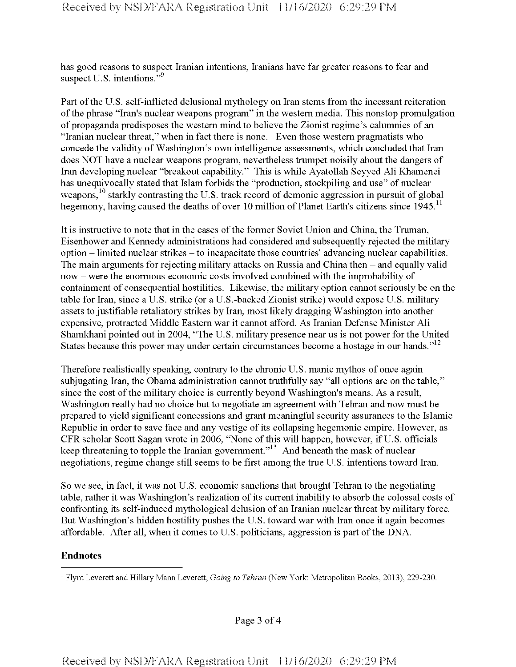has good reasons to suspect Iranian intentions, Iranians have far greater reasons to fear and suspect U.S. intentions."<sup>9</sup>

Part of the U.S. self-inflicted delusional mythology on Iran stems from the incessant reiteration ofthe phrase "Iran's nuclear weapons program" in the western media. This nonstop promulgation of propaganda predisposes the western mind to believe the Zionist regime's calumnies of an "Iranian nuclear threat," when in fact there is none. Even those western pragmatists who concede the validity of Washington's own intelligence assessments, which concluded that Iran does NOT have a nuclear weapons program, nevertheless trumpet noisily about the dangers of Iran developing nuclear "breakout capability." This is while Ayatollah Seyyed Ali Khamenei has unequivocally stated that Islam forbids the "production, stockpiling and use" of nuclear weapons,<sup>10</sup> starkly contrasting the U.S. track record of demonic aggression in pursuit of global hegemony, having caused the deaths of over 10 million of Planet Earth's citizens since  $1945$ .<sup>11</sup>

It is instructive to note that in the cases ofthe former Soviet Union and China, the Truman, Eisenhower and Kennedy administrations had considered and subsequently rejected the military option -limited nuclear strikes -to incapacitate those countries' advancing nuclear capabilities. The main arguments for rejecting military attacks on Russia and China then – and equally valid now - were the enormous economic costs involved combined with the improbability of containment of consequential hostilities. Likewise, the military option cannot seriously be on the table for Iran, since a U.S. strike (or a U.S.-backed Zionist strike) would expose U.S. military assets to justifiable retaliatory strikes by Iran, most likely dragging Washington into another expensive, protracted Middle Eastern war it cannot afford. As Iranian Defense Minister Ali Shamkhani pointed out in 2004, "The U.S. military presence near us is not power forthe United States because this power may under certain circumstances become a hostage in our hands." $12$ 

Therefore realistically speaking, contrary to the chronic U.S. manic mythos of once again subjugating Iran, the Obama administration cannot truthfully say "all options are on the table," since the cost of the military choice is currently beyond Washington's means. As a result, Washington really had no choice but to negotiate an agreement with Tehran and now must be prepared to yield significant concessions and grant meaningful security assurances to the Islamic Republic in order to save face and any vestige of its collapsing hegemonic empire. However, as CFR scholar Scott Sagan wrote in 2006, "None of this will happen, however, if U.S. officials keep threatening to topple the Iranian government."13 And beneath the mask of nuclear negotiations, regime change still seems to be first among the true U.S. intentions toward Iran.

So we see, in fact, it was not U.S. economic sanctions that brought Tehran to the negotiating table, rather it was Washington's realization of its current inability to absorb the colossal costs of confronting its self-induced mythological delusion of an Iranian nuclearthreat by military force. But Washington's hidden hostility pushes the U.S. toward war with Iran once it again becomes affordable. After all, when it comes to U.S. politicians, aggression is part of the DNA.

## **Endnotes**

Page 3 of 4

i Flynt Leverett and Hillary Mann Leverett, *Going to Tehran* (New York: Metropolitan Books, 2013), 229-230.